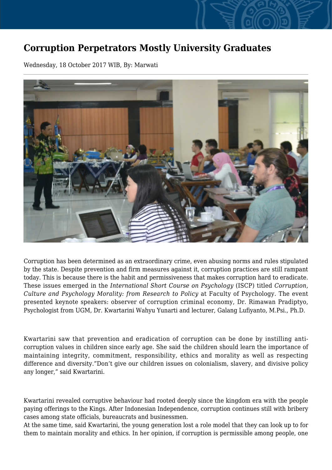## **Corruption Perpetrators Mostly University Graduates**

Wednesday, 18 October 2017 WIB, By: Marwati



Corruption has been determined as an extraordinary crime, even abusing norms and rules stipulated by the state. Despite prevention and firm measures against it, corruption practices are still rampant today. This is because there is the habit and permissiveness that makes corruption hard to eradicate. These issues emerged in the *International Short Course on Psychology* (ISCP) titled *Corruption, Culture and Psychology Morality: from Research to Policy* at Faculty of Psychology. The event presented keynote speakers: observer of corruption criminal economy, Dr. Rimawan Pradiptyo, Psychologist from UGM, Dr. Kwartarini Wahyu Yunarti and lecturer, Galang Lufiyanto, M.Psi., Ph.D.

Kwartarini saw that prevention and eradication of corruption can be done by instilling anticorruption values in children since early age. She said the children should learn the importance of maintaining integrity, commitment, responsibility, ethics and morality as well as respecting difference and diversity."Don't give our children issues on colonialism, slavery, and divisive policy any longer," said Kwartarini.

Kwartarini revealed corruptive behaviour had rooted deeply since the kingdom era with the people paying offerings to the Kings. After Indonesian Independence, corruption continues still with bribery cases among state officials, bureaucrats and businessmen.

At the same time, said Kwartarini, the young generation lost a role model that they can look up to for them to maintain morality and ethics. In her opinion, if corruption is permissible among people, one